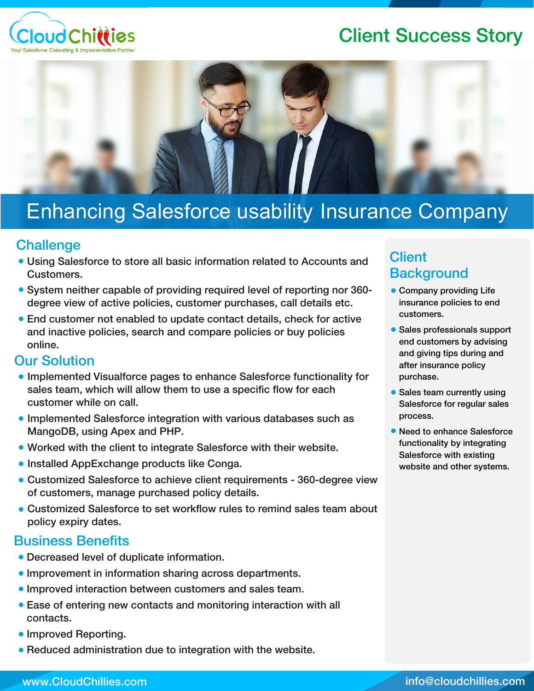## Client Success Story





# Enhancing Salesforce usability Insurance Company

#### **Challenge**

- Using Salesforce to store all basic information related to Accounts and Customers.
- System neither capable of providing required level of reporting nor 360degree view of active policies, customer purchases, call details etc.
- End customer not enabled to update contact details, check for active and inactive policies, search and compare policies or buy policies online.

#### Our Solution

- Implemented Visualforce pages to enhance Salesforce functionality for sales team, which will allow them to use a specific flow for each customer while on call.
- Implemented Salesforce integration with various databases such as MangoDB, using Apex and PHP.
- Worked with the client to integrate Salesforce with their website.
- **Installed AppExchange products like Conga.**
- Customized Salesforce to achieve client requirements 360-degree view of customers, manage purchased policy details.
- Customized Salesforce to set workflow rules to remind sales team about policy expiry dates.

#### Business Benefits

- Decreased level of duplicate information.
- Improvement in information sharing across departments.
- **Improved interaction between customers and sales team.**
- Ease of entering new contacts and monitoring interaction with all contacts.
- Improved Reporting.
- Reduced administration due to integration with the website.

## **Client Background**

- Company providing Life insurance policies to end customers.
- Sales professionals support end customers by advising and giving tips during and after insurance policy purchase.
- Sales team currently using Salesforce for regular sales process.
- Need to enhance Salesforce functionality by integrating Salesforce with existing website and other systems.